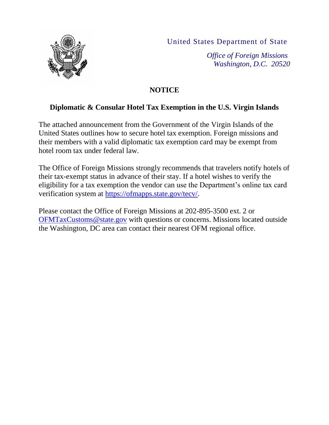

United States Department of State

*Office of Foreign Missions Washington, D.C. 20520*

## **NOTICE**

## **Diplomatic & Consular Hotel Tax Exemption in the U.S. Virgin Islands**

The attached announcement from the Government of the Virgin Islands of the United States outlines how to secure hotel tax exemption. Foreign missions and their members with a valid diplomatic tax exemption card may be exempt from hotel room tax under federal law.

The Office of Foreign Missions strongly recommends that travelers notify hotels of their tax-exempt status in advance of their stay. If a hotel wishes to verify the eligibility for a tax exemption the vendor can use the Department's online tax card verification system at [https://ofmapps.state.gov/tecv/.](https://ofmapps.state.gov/tecv/)

Please contact the Office of Foreign Missions at 202-895-3500 ext. 2 or [OFMTaxCustoms@state.gov](mailto:OFMTaxCustoms@state.gov) with questions or concerns. Missions located outside the Washington, DC area can contact their nearest OFM regional office.